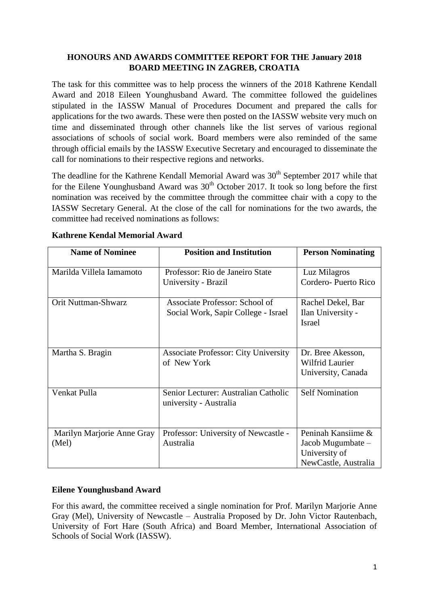## **HONOURS AND AWARDS COMMITTEE REPORT FOR THE January 2018 BOARD MEETING IN ZAGREB, CROATIA**

The task for this committee was to help process the winners of the 2018 Kathrene Kendall Award and 2018 Eileen Younghusband Award. The committee followed the guidelines stipulated in the IASSW Manual of Procedures Document and prepared the calls for applications for the two awards. These were then posted on the IASSW website very much on time and disseminated through other channels like the list serves of various regional associations of schools of social work. Board members were also reminded of the same through official emails by the IASSW Executive Secretary and encouraged to disseminate the call for nominations to their respective regions and networks.

The deadline for the Kathrene Kendall Memorial Award was  $30<sup>th</sup>$  September 2017 while that for the Eilene Younghusband Award was  $30<sup>th</sup>$  October 2017. It took so long before the first nomination was received by the committee through the committee chair with a copy to the IASSW Secretary General. At the close of the call for nominations for the two awards, the committee had received nominations as follows:

| <b>Name of Nominee</b>              | <b>Position and Institution</b>                                       | <b>Person Nominating</b>                                                         |  |
|-------------------------------------|-----------------------------------------------------------------------|----------------------------------------------------------------------------------|--|
| Marilda Villela Iamamoto            | Professor: Rio de Janeiro State<br>University - Brazil                | Luz Milagros<br>Cordero-Puerto Rico                                              |  |
| Orit Nuttman-Shwarz                 | Associate Professor: School of<br>Social Work, Sapir College - Israel | Rachel Dekel, Bar<br>Ilan University -<br><b>Israel</b>                          |  |
| Martha S. Bragin                    | <b>Associate Professor: City University</b><br>of New York            | Dr. Bree Akesson,<br>Wilfrid Laurier<br>University, Canada                       |  |
| Venkat Pulla                        | Senior Lecturer: Australian Catholic<br>university - Australia        | <b>Self Nomination</b>                                                           |  |
| Marilyn Marjorie Anne Gray<br>(Mel) | Professor: University of Newcastle -<br>Australia                     | Peninah Kansiime &<br>Jacob Mugumbate –<br>University of<br>NewCastle, Australia |  |

## **Kathrene Kendal Memorial Award**

## **Eilene Younghusband Award**

For this award, the committee received a single nomination for Prof. Marilyn Marjorie Anne Gray (Mel), University of Newcastle – Australia Proposed by Dr. John Victor Rautenbach, University of Fort Hare (South Africa) and Board Member, International Association of Schools of Social Work (IASSW).